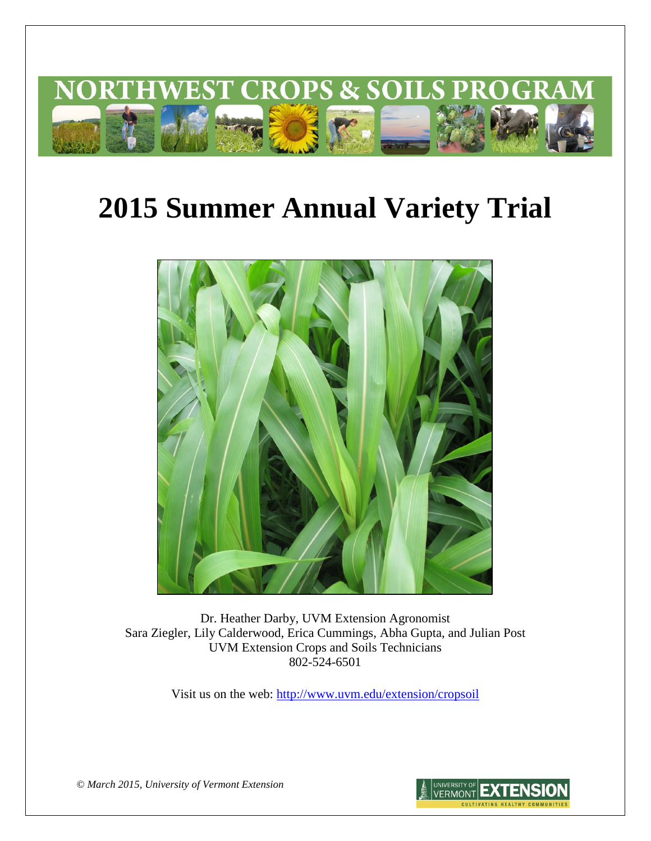

# **2015 Summer Annual Variety Trial**



Dr. Heather Darby, UVM Extension Agronomist Sara Ziegler, Lily Calderwood, Erica Cummings, Abha Gupta, and Julian Post UVM Extension Crops and Soils Technicians 802-524-6501

Visit us on the web: <http://www.uvm.edu/extension/cropsoil>

*© March 2015, University of Vermont Extension*

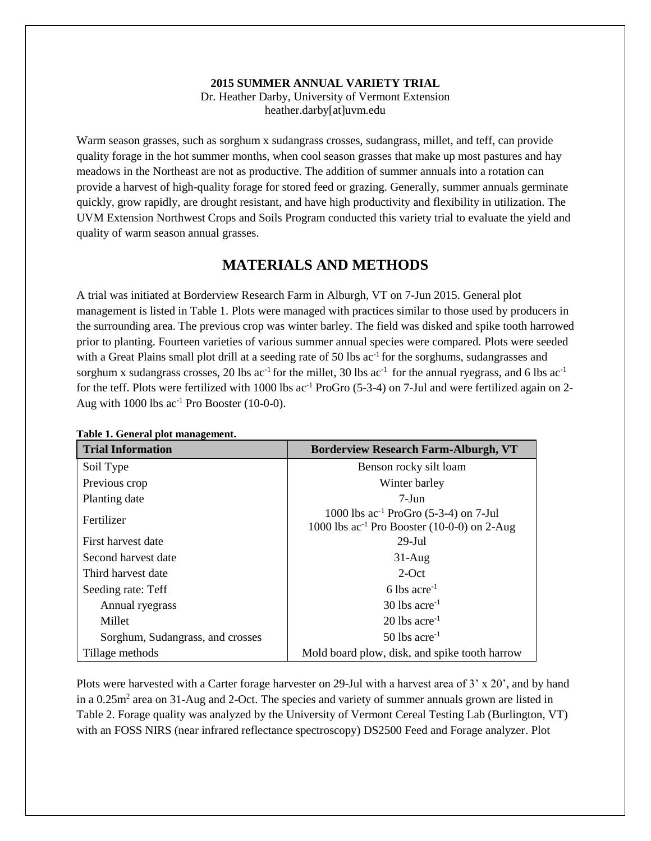#### **2015 SUMMER ANNUAL VARIETY TRIAL**

Dr. Heather Darby, University of Vermont Extension heather.darby[at]uvm.edu

Warm season grasses, such as sorghum x sudangrass crosses, sudangrass, millet, and teff, can provide quality forage in the hot summer months, when cool season grasses that make up most pastures and hay meadows in the Northeast are not as productive. The addition of summer annuals into a rotation can provide a harvest of high-quality forage for stored feed or grazing. Generally, summer annuals germinate quickly, grow rapidly, are drought resistant, and have high productivity and flexibility in utilization. The UVM Extension Northwest Crops and Soils Program conducted this variety trial to evaluate the yield and quality of warm season annual grasses.

# **MATERIALS AND METHODS**

A trial was initiated at Borderview Research Farm in Alburgh, VT on 7-Jun 2015. General plot management is listed in Table 1. Plots were managed with practices similar to those used by producers in the surrounding area. The previous crop was winter barley. The field was disked and spike tooth harrowed prior to planting. Fourteen varieties of various summer annual species were compared. Plots were seeded with a Great Plains small plot drill at a seeding rate of 50 lbs ac<sup>-1</sup> for the sorghums, sudangrasses and sorghum x sudangrass crosses, 20 lbs  $ac^{-1}$  for the millet, 30 lbs  $ac^{-1}$  for the annual ryegrass, and 6 lbs  $ac^{-1}$ for the teff. Plots were fertilized with 1000 lbs  $ac^{-1}$  ProGro (5-3-4) on 7-Jul and were fertilized again on 2-Aug with  $1000$  lbs  $ac^{-1}$  Pro Booster (10-0-0).

| <b>Trial Information</b>         | <b>Borderview Research Farm-Alburgh, VT</b>                                                    |
|----------------------------------|------------------------------------------------------------------------------------------------|
| Soil Type                        | Benson rocky silt loam                                                                         |
| Previous crop                    | Winter barley                                                                                  |
| Planting date                    | $7-J$ un                                                                                       |
| Fertilizer                       | 1000 lbs $ac^{-1}$ ProGro (5-3-4) on 7-Jul<br>1000 lbs $ac^{-1}$ Pro Booster (10-0-0) on 2-Aug |
| First harvest date               | $29$ -Jul                                                                                      |
| Second harvest date              | $31-Aug$                                                                                       |
| Third harvest date               | $2$ -Oct                                                                                       |
| Seeding rate: Teff               | 6 lbs $\rm{acre}^{-1}$                                                                         |
| Annual ryegrass                  | $30$ lbs acre <sup>-1</sup>                                                                    |
| Millet                           | $20$ lbs acre <sup>-1</sup>                                                                    |
| Sorghum, Sudangrass, and crosses | $50$ lbs acre <sup>-1</sup>                                                                    |
| Tillage methods                  | Mold board plow, disk, and spike tooth harrow                                                  |

#### **Table 1. General plot management.**

Plots were harvested with a Carter forage harvester on 29-Jul with a harvest area of 3' x 20', and by hand in a 0.25m<sup>2</sup> area on 31-Aug and 2-Oct. The species and variety of summer annuals grown are listed in Table 2. Forage quality was analyzed by the University of Vermont Cereal Testing Lab (Burlington, VT) with an FOSS NIRS (near infrared reflectance spectroscopy) DS2500 Feed and Forage analyzer. Plot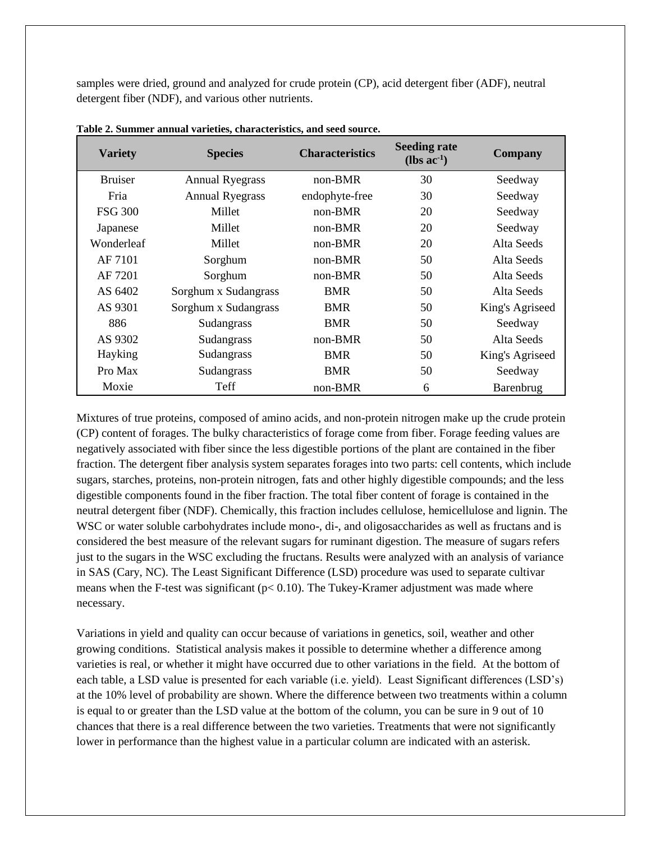samples were dried, ground and analyzed for crude protein (CP), acid detergent fiber (ADF), neutral detergent fiber (NDF), and various other nutrients.

| <b>Variety</b> | <b>Species</b>         | <b>Characteristics</b> | <b>Seeding rate</b><br>$(lbs \text{ ac}^{-1})$ | <b>Company</b>  |
|----------------|------------------------|------------------------|------------------------------------------------|-----------------|
| <b>Bruiser</b> | <b>Annual Ryegrass</b> | $non-BMR$              | 30                                             | Seedway         |
| Fria           | <b>Annual Ryegrass</b> | endophyte-free         | 30                                             | Seedway         |
| <b>FSG 300</b> | Millet                 | $non-BMR$              | 20                                             | Seedway         |
| Japanese       | Millet                 | non-BMR                | 20                                             | Seedway         |
| Wonderleaf     | Millet                 | $non-BMR$              | 20                                             | Alta Seeds      |
| AF 7101        | Sorghum                | $non-BMR$              | 50                                             | Alta Seeds      |
| AF 7201        | Sorghum                | non-BMR                | 50                                             | Alta Seeds      |
| AS 6402        | Sorghum x Sudangrass   | <b>BMR</b>             | 50                                             | Alta Seeds      |
| AS 9301        | Sorghum x Sudangrass   | <b>BMR</b>             | 50                                             | King's Agriseed |
| 886            | Sudangrass             | <b>BMR</b>             | 50                                             | Seedway         |
| AS 9302        | Sudangrass             | $non-BMR$              | 50                                             | Alta Seeds      |
| Hayking        | Sudangrass             | <b>BMR</b>             | 50                                             | King's Agriseed |
| Pro Max        | Sudangrass             | <b>BMR</b>             | 50                                             | Seedway         |
| Moxie          | Teff                   | $non-BMR$              | 6                                              | Barenbrug       |

**Table 2. Summer annual varieties, characteristics, and seed source.** 

Mixtures of true proteins, composed of amino acids, and non-protein nitrogen make up the crude protein (CP) content of forages. The bulky characteristics of forage come from fiber. Forage feeding values are negatively associated with fiber since the less digestible portions of the plant are contained in the fiber fraction. The detergent fiber analysis system separates forages into two parts: cell contents, which include sugars, starches, proteins, non-protein nitrogen, fats and other highly digestible compounds; and the less digestible components found in the fiber fraction. The total fiber content of forage is contained in the neutral detergent fiber (NDF). Chemically, this fraction includes cellulose, hemicellulose and lignin. The WSC or water soluble carbohydrates include mono-, di-, and oligosaccharides as well as fructans and is considered the best measure of the relevant sugars for ruminant digestion. The measure of sugars refers just to the sugars in the WSC excluding the fructans. Results were analyzed with an analysis of variance in SAS (Cary, NC). The Least Significant Difference (LSD) procedure was used to separate cultivar means when the F-test was significant ( $p < 0.10$ ). The Tukey-Kramer adjustment was made where necessary.

Variations in yield and quality can occur because of variations in genetics, soil, weather and other growing conditions. Statistical analysis makes it possible to determine whether a difference among varieties is real, or whether it might have occurred due to other variations in the field. At the bottom of each table, a LSD value is presented for each variable (i.e. yield). Least Significant differences (LSD's) at the 10% level of probability are shown. Where the difference between two treatments within a column is equal to or greater than the LSD value at the bottom of the column, you can be sure in 9 out of 10 chances that there is a real difference between the two varieties. Treatments that were not significantly lower in performance than the highest value in a particular column are indicated with an asterisk.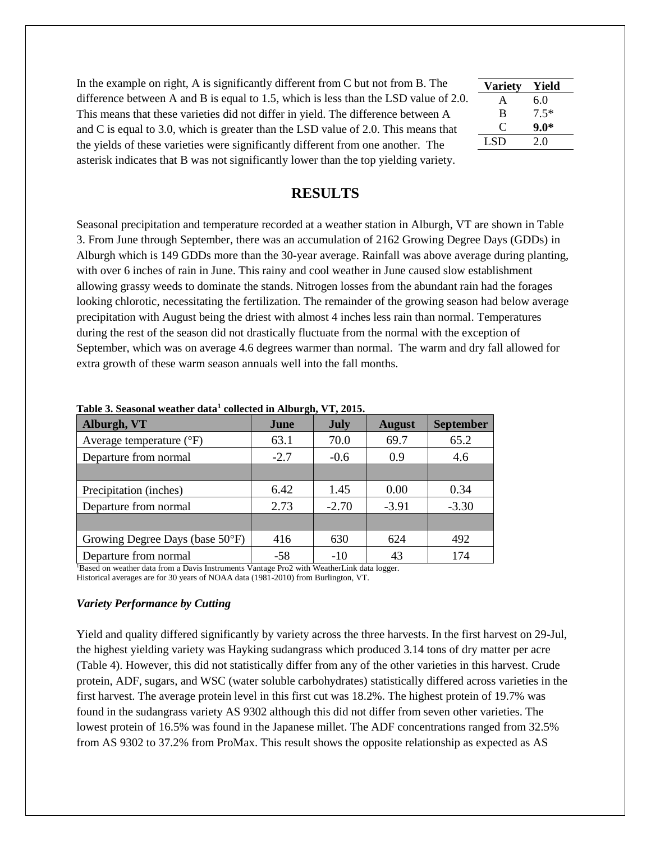| In the example on right, A is significantly different from C but not from B. The     |
|--------------------------------------------------------------------------------------|
| difference between A and B is equal to 1.5, which is less than the LSD value of 2.0. |
| This means that these varieties did not differ in yield. The difference between A    |
| and C is equal to 3.0, which is greater than the LSD value of 2.0. This means that   |
| the yields of these varieties were significantly different from one another. The     |
| asterisk indicates that B was not significantly lower than the top yielding variety. |

| <b>Variety</b> | Yield  |
|----------------|--------|
| A              | 6.0    |
| B              | $7.5*$ |
| $\mathfrak{g}$ | 9.0*   |
| LSD.           | 20     |
|                |        |

### **RESULTS**

Seasonal precipitation and temperature recorded at a weather station in Alburgh, VT are shown in Table 3. From June through September, there was an accumulation of 2162 Growing Degree Days (GDDs) in Alburgh which is 149 GDDs more than the 30-year average. Rainfall was above average during planting, with over 6 inches of rain in June. This rainy and cool weather in June caused slow establishment allowing grassy weeds to dominate the stands. Nitrogen losses from the abundant rain had the forages looking chlorotic, necessitating the fertilization. The remainder of the growing season had below average precipitation with August being the driest with almost 4 inches less rain than normal. Temperatures during the rest of the season did not drastically fluctuate from the normal with the exception of September, which was on average 4.6 degrees warmer than normal. The warm and dry fall allowed for extra growth of these warm season annuals well into the fall months.

|                                   | $\mathbf{\sigma}$ |             |               |                  |
|-----------------------------------|-------------------|-------------|---------------|------------------|
| Alburgh, VT                       | June              | <b>July</b> | <b>August</b> | <b>September</b> |
| Average temperature $(^{\circ}F)$ | 63.1              | 70.0        | 69.7          | 65.2             |
| Departure from normal             | $-2.7$            | $-0.6$      | 0.9           | 4.6              |
|                                   |                   |             |               |                  |
| Precipitation (inches)            | 6.42              | 1.45        | 0.00          | 0.34             |
| Departure from normal             | 2.73              | $-2.70$     | $-3.91$       | $-3.30$          |
|                                   |                   |             |               |                  |
| Growing Degree Days (base 50°F)   | 416               | 630         | 624           | 492              |
| Departure from normal             | $-58$             | -10         | 43            | 174              |

| Table 3. Seasonal weather data <sup>1</sup> collected in Alburgh, VT, 2015. |  |  |  |  |  |  |  |
|-----------------------------------------------------------------------------|--|--|--|--|--|--|--|
|-----------------------------------------------------------------------------|--|--|--|--|--|--|--|

<sup>1</sup>Based on weather data from a Davis Instruments Vantage Pro2 with WeatherLink data logger. Historical averages are for 30 years of NOAA data (1981-2010) from Burlington, VT.

#### *Variety Performance by Cutting*

Yield and quality differed significantly by variety across the three harvests. In the first harvest on 29-Jul, the highest yielding variety was Hayking sudangrass which produced 3.14 tons of dry matter per acre (Table 4). However, this did not statistically differ from any of the other varieties in this harvest. Crude protein, ADF, sugars, and WSC (water soluble carbohydrates) statistically differed across varieties in the first harvest. The average protein level in this first cut was 18.2%. The highest protein of 19.7% was found in the sudangrass variety AS 9302 although this did not differ from seven other varieties. The lowest protein of 16.5% was found in the Japanese millet. The ADF concentrations ranged from 32.5% from AS 9302 to 37.2% from ProMax. This result shows the opposite relationship as expected as AS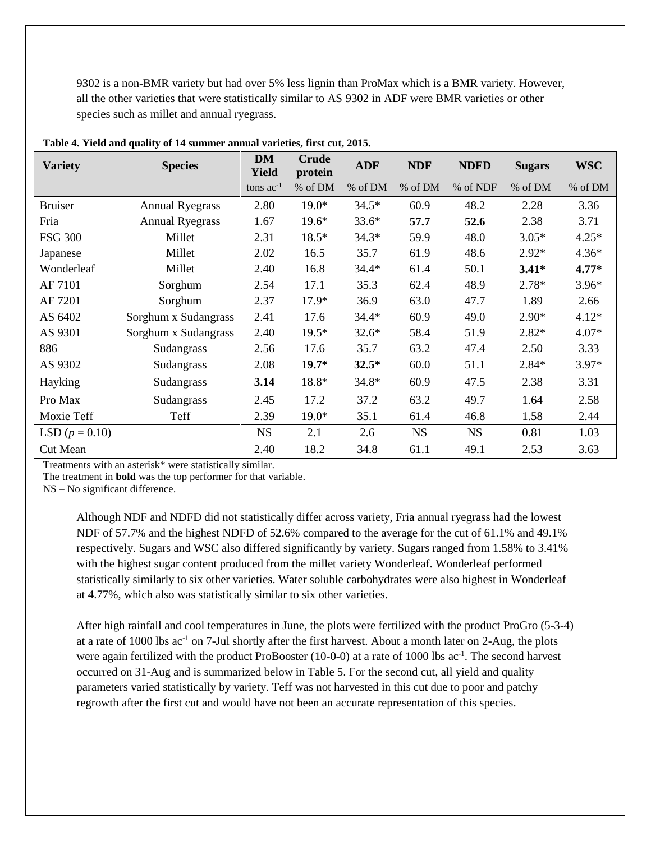9302 is a non-BMR variety but had over 5% less lignin than ProMax which is a BMR variety. However, all the other varieties that were statistically similar to AS 9302 in ADF were BMR varieties or other species such as millet and annual ryegrass.

| <b>Variety</b>   | <b>Species</b>         | <b>DM</b><br><b>Yield</b> | <b>Crude</b><br>protein | <b>ADF</b> | <b>NDF</b> | <b>NDFD</b> | <b>Sugars</b> | <b>WSC</b> |
|------------------|------------------------|---------------------------|-------------------------|------------|------------|-------------|---------------|------------|
|                  |                        | tons $ac^{-1}$            | % of DM                 | % of DM    | % of DM    | % of NDF    | % of DM       | % of DM    |
| <b>Bruiser</b>   | <b>Annual Ryegrass</b> | 2.80                      | $19.0*$                 | $34.5*$    | 60.9       | 48.2        | 2.28          | 3.36       |
| Fria             | <b>Annual Ryegrass</b> | 1.67                      | $19.6*$                 | $33.6*$    | 57.7       | 52.6        | 2.38          | 3.71       |
| <b>FSG 300</b>   | Millet                 | 2.31                      | $18.5*$                 | $34.3*$    | 59.9       | 48.0        | $3.05*$       | $4.25*$    |
| Japanese         | Millet                 | 2.02                      | 16.5                    | 35.7       | 61.9       | 48.6        | $2.92*$       | $4.36*$    |
| Wonderleaf       | Millet                 | 2.40                      | 16.8                    | $34.4*$    | 61.4       | 50.1        | $3.41*$       | $4.77*$    |
| AF 7101          | Sorghum                | 2.54                      | 17.1                    | 35.3       | 62.4       | 48.9        | $2.78*$       | $3.96*$    |
| AF 7201          | Sorghum                | 2.37                      | 17.9*                   | 36.9       | 63.0       | 47.7        | 1.89          | 2.66       |
| AS 6402          | Sorghum x Sudangrass   | 2.41                      | 17.6                    | $34.4*$    | 60.9       | 49.0        | $2.90*$       | $4.12*$    |
| AS 9301          | Sorghum x Sudangrass   | 2.40                      | $19.5*$                 | $32.6*$    | 58.4       | 51.9        | $2.82*$       | $4.07*$    |
| 886              | Sudangrass             | 2.56                      | 17.6                    | 35.7       | 63.2       | 47.4        | 2.50          | 3.33       |
| AS 9302          | Sudangrass             | 2.08                      | $19.7*$                 | $32.5*$    | 60.0       | 51.1        | 2.84*         | $3.97*$    |
| Hayking          | Sudangrass             | 3.14                      | 18.8*                   | 34.8*      | 60.9       | 47.5        | 2.38          | 3.31       |
| Pro Max          | Sudangrass             | 2.45                      | 17.2                    | 37.2       | 63.2       | 49.7        | 1.64          | 2.58       |
| Moxie Teff       | Teff                   | 2.39                      | 19.0*                   | 35.1       | 61.4       | 46.8        | 1.58          | 2.44       |
| LSD $(p = 0.10)$ |                        | <b>NS</b>                 | 2.1                     | 2.6        | <b>NS</b>  | <b>NS</b>   | 0.81          | 1.03       |
| <b>Cut Mean</b>  |                        | 2.40                      | 18.2                    | 34.8       | 61.1       | 49.1        | 2.53          | 3.63       |

**Table 4. Yield and quality of 14 summer annual varieties, first cut, 2015.**

Treatments with an asterisk\* were statistically similar.

The treatment in **bold** was the top performer for that variable.

NS – No significant difference.

Although NDF and NDFD did not statistically differ across variety, Fria annual ryegrass had the lowest NDF of 57.7% and the highest NDFD of 52.6% compared to the average for the cut of 61.1% and 49.1% respectively. Sugars and WSC also differed significantly by variety. Sugars ranged from 1.58% to 3.41% with the highest sugar content produced from the millet variety Wonderleaf. Wonderleaf performed statistically similarly to six other varieties. Water soluble carbohydrates were also highest in Wonderleaf at 4.77%, which also was statistically similar to six other varieties.

After high rainfall and cool temperatures in June, the plots were fertilized with the product ProGro (5-3-4) at a rate of 1000 lbs  $ac^{-1}$  on 7-Jul shortly after the first harvest. About a month later on 2-Aug, the plots were again fertilized with the product ProBooster (10-0-0) at a rate of 1000 lbs  $ac^{-1}$ . The second harvest occurred on 31-Aug and is summarized below in Table 5. For the second cut, all yield and quality parameters varied statistically by variety. Teff was not harvested in this cut due to poor and patchy regrowth after the first cut and would have not been an accurate representation of this species.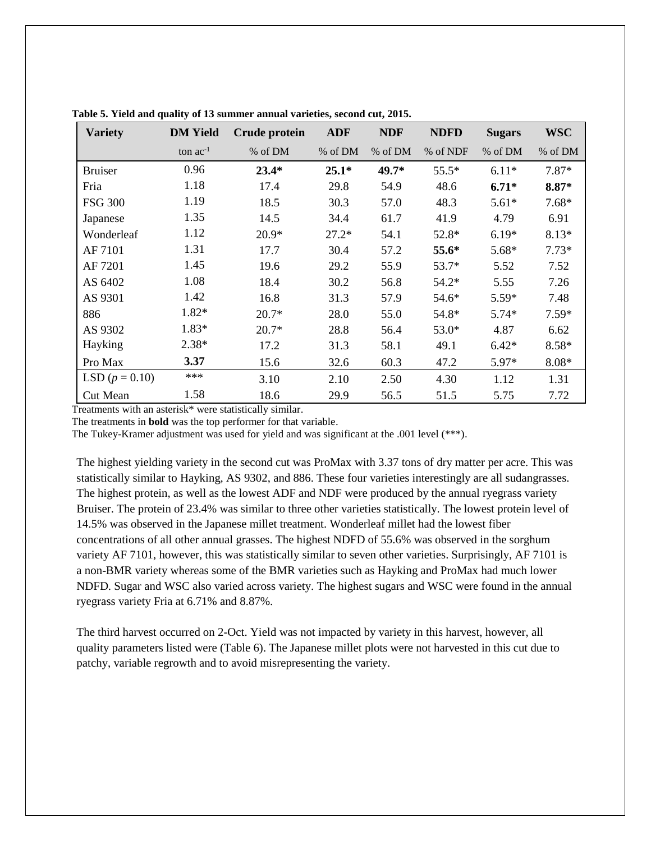| <b>Variety</b>   | <b>DM</b> Yield | Crude protein | <b>ADF</b> | <b>NDF</b> | <b>NDFD</b> | <b>Sugars</b> | <b>WSC</b> |
|------------------|-----------------|---------------|------------|------------|-------------|---------------|------------|
|                  | ton $ac^{-1}$   | % of DM       | % of DM    | % of DM    | % of NDF    | % of DM       | % of DM    |
| <b>Bruiser</b>   | 0.96            | $23.4*$       | $25.1*$    | 49.7*      | $55.5*$     | $6.11*$       | $7.87*$    |
| Fria             | 1.18            | 17.4          | 29.8       | 54.9       | 48.6        | $6.71*$       | 8.87*      |
| <b>FSG 300</b>   | 1.19            | 18.5          | 30.3       | 57.0       | 48.3        | $5.61*$       | $7.68*$    |
| Japanese         | 1.35            | 14.5          | 34.4       | 61.7       | 41.9        | 4.79          | 6.91       |
| Wonderleaf       | 1.12            | $20.9*$       | $27.2*$    | 54.1       | 52.8*       | $6.19*$       | 8.13*      |
| AF 7101          | 1.31            | 17.7          | 30.4       | 57.2       | 55.6*       | 5.68*         | $7.73*$    |
| AF 7201          | 1.45            | 19.6          | 29.2       | 55.9       | $53.7*$     | 5.52          | 7.52       |
| AS 6402          | 1.08            | 18.4          | 30.2       | 56.8       | $54.2*$     | 5.55          | 7.26       |
| AS 9301          | 1.42            | 16.8          | 31.3       | 57.9       | 54.6*       | $5.59*$       | 7.48       |
| 886              | 1.82*           | $20.7*$       | 28.0       | 55.0       | 54.8*       | $5.74*$       | $7.59*$    |
| AS 9302          | 1.83*           | $20.7*$       | 28.8       | 56.4       | $53.0*$     | 4.87          | 6.62       |
| Hayking          | $2.38*$         | 17.2          | 31.3       | 58.1       | 49.1        | $6.42*$       | 8.58*      |
| Pro Max          | 3.37            | 15.6          | 32.6       | 60.3       | 47.2        | 5.97*         | 8.08*      |
| LSD $(p = 0.10)$ | ***             | 3.10          | 2.10       | 2.50       | 4.30        | 1.12          | 1.31       |
| <b>Cut Mean</b>  | 1.58            | 18.6          | 29.9       | 56.5       | 51.5        | 5.75          | 7.72       |

**Table 5. Yield and quality of 13 summer annual varieties, second cut, 2015.**

Treatments with an asterisk\* were statistically similar.

The treatments in **bold** was the top performer for that variable.

The Tukey-Kramer adjustment was used for yield and was significant at the .001 level (\*\*\*).

The highest yielding variety in the second cut was ProMax with 3.37 tons of dry matter per acre. This was statistically similar to Hayking, AS 9302, and 886. These four varieties interestingly are all sudangrasses. The highest protein, as well as the lowest ADF and NDF were produced by the annual ryegrass variety Bruiser. The protein of 23.4% was similar to three other varieties statistically. The lowest protein level of 14.5% was observed in the Japanese millet treatment. Wonderleaf millet had the lowest fiber concentrations of all other annual grasses. The highest NDFD of 55.6% was observed in the sorghum variety AF 7101, however, this was statistically similar to seven other varieties. Surprisingly, AF 7101 is a non-BMR variety whereas some of the BMR varieties such as Hayking and ProMax had much lower NDFD. Sugar and WSC also varied across variety. The highest sugars and WSC were found in the annual ryegrass variety Fria at 6.71% and 8.87%.

The third harvest occurred on 2-Oct. Yield was not impacted by variety in this harvest, however, all quality parameters listed were (Table 6). The Japanese millet plots were not harvested in this cut due to patchy, variable regrowth and to avoid misrepresenting the variety.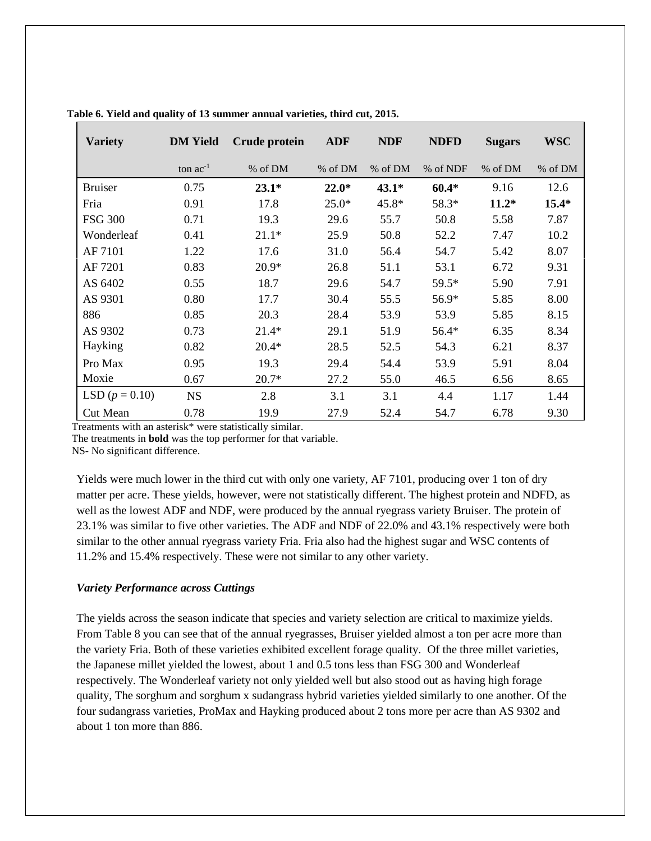| <b>Variety</b>   | <b>DM</b> Yield | Crude protein | <b>ADF</b> | <b>NDF</b> | <b>NDFD</b> | <b>Sugars</b> | <b>WSC</b> |
|------------------|-----------------|---------------|------------|------------|-------------|---------------|------------|
|                  | ton $ac^{-1}$   | % of DM       | % of DM    | % of DM    | % of NDF    | % of DM       | % of DM    |
| <b>Bruiser</b>   | 0.75            | $23.1*$       | $22.0*$    | $43.1*$    | $60.4*$     | 9.16          | 12.6       |
| Fria             | 0.91            | 17.8          | $25.0*$    | 45.8*      | 58.3*       | $11.2*$       | $15.4*$    |
| <b>FSG 300</b>   | 0.71            | 19.3          | 29.6       | 55.7       | 50.8        | 5.58          | 7.87       |
| Wonderleaf       | 0.41            | $21.1*$       | 25.9       | 50.8       | 52.2        | 7.47          | 10.2       |
| AF 7101          | 1.22            | 17.6          | 31.0       | 56.4       | 54.7        | 5.42          | 8.07       |
| AF 7201          | 0.83            | $20.9*$       | 26.8       | 51.1       | 53.1        | 6.72          | 9.31       |
| AS 6402          | 0.55            | 18.7          | 29.6       | 54.7       | 59.5*       | 5.90          | 7.91       |
| AS 9301          | 0.80            | 17.7          | 30.4       | 55.5       | 56.9*       | 5.85          | 8.00       |
| 886              | 0.85            | 20.3          | 28.4       | 53.9       | 53.9        | 5.85          | 8.15       |
| AS 9302          | 0.73            | $21.4*$       | 29.1       | 51.9       | 56.4*       | 6.35          | 8.34       |
| Hayking          | 0.82            | $20.4*$       | 28.5       | 52.5       | 54.3        | 6.21          | 8.37       |
| Pro Max          | 0.95            | 19.3          | 29.4       | 54.4       | 53.9        | 5.91          | 8.04       |
| Moxie            | 0.67            | $20.7*$       | 27.2       | 55.0       | 46.5        | 6.56          | 8.65       |
| LSD $(p = 0.10)$ | <b>NS</b>       | 2.8           | 3.1        | 3.1        | 4.4         | 1.17          | 1.44       |
| <b>Cut Mean</b>  | 0.78            | 19.9          | 27.9       | 52.4       | 54.7        | 6.78          | 9.30       |

| Table 6. Yield and quality of 13 summer annual varieties, third cut, 2015. |  |  |  |  |
|----------------------------------------------------------------------------|--|--|--|--|
|----------------------------------------------------------------------------|--|--|--|--|

Treatments with an asterisk\* were statistically similar.

The treatments in **bold** was the top performer for that variable.

NS- No significant difference.

Yields were much lower in the third cut with only one variety, AF 7101, producing over 1 ton of dry matter per acre. These yields, however, were not statistically different. The highest protein and NDFD, as well as the lowest ADF and NDF, were produced by the annual ryegrass variety Bruiser. The protein of 23.1% was similar to five other varieties. The ADF and NDF of 22.0% and 43.1% respectively were both similar to the other annual ryegrass variety Fria. Fria also had the highest sugar and WSC contents of 11.2% and 15.4% respectively. These were not similar to any other variety.

#### *Variety Performance across Cuttings*

The yields across the season indicate that species and variety selection are critical to maximize yields. From Table 8 you can see that of the annual ryegrasses, Bruiser yielded almost a ton per acre more than the variety Fria. Both of these varieties exhibited excellent forage quality. Of the three millet varieties, the Japanese millet yielded the lowest, about 1 and 0.5 tons less than FSG 300 and Wonderleaf respectively. The Wonderleaf variety not only yielded well but also stood out as having high forage quality, The sorghum and sorghum x sudangrass hybrid varieties yielded similarly to one another. Of the four sudangrass varieties, ProMax and Hayking produced about 2 tons more per acre than AS 9302 and about 1 ton more than 886.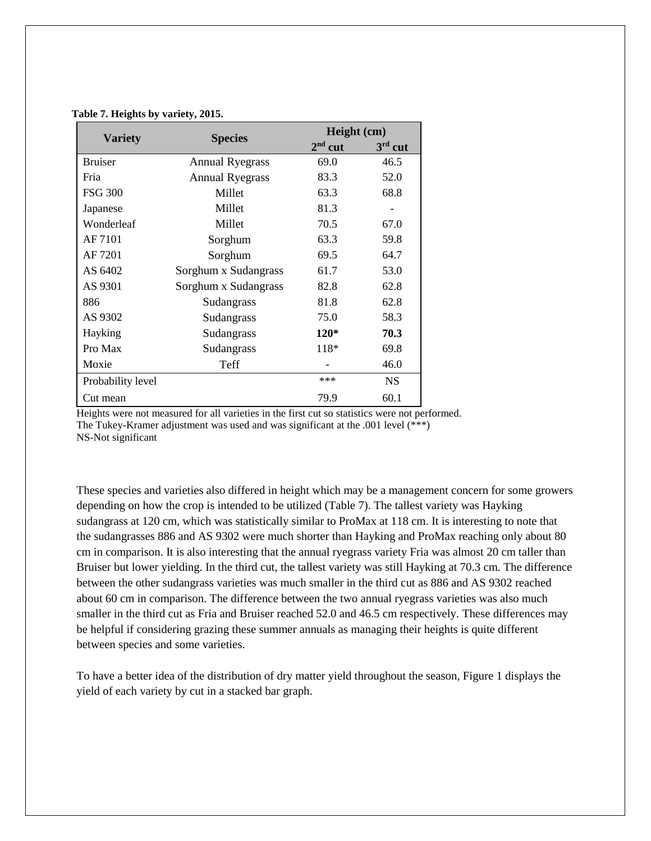| <b>Variety</b><br><b>Species</b> |                        | Height (cm) |           |  |
|----------------------------------|------------------------|-------------|-----------|--|
|                                  |                        | $2nd$ cut   | $3rd$ cut |  |
| <b>Bruiser</b>                   | <b>Annual Ryegrass</b> | 69.0        | 46.5      |  |
| Fria                             | <b>Annual Ryegrass</b> | 83.3        | 52.0      |  |
| <b>FSG 300</b>                   | Millet                 | 63.3        | 68.8      |  |
| Japanese                         | Millet                 | 81.3        |           |  |
| Wonderleaf                       | Millet                 | 70.5        | 67.0      |  |
| AF 7101                          | Sorghum                | 63.3        | 59.8      |  |
| AF 7201                          | Sorghum                | 69.5        | 64.7      |  |
| AS 6402                          | Sorghum x Sudangrass   | 61.7        | 53.0      |  |
| AS 9301                          | Sorghum x Sudangrass   | 82.8        | 62.8      |  |
| 886                              | Sudangrass             | 81.8        | 62.8      |  |
| AS 9302                          | Sudangrass             | 75.0        | 58.3      |  |
| Hayking                          | Sudangrass             | $120*$      | 70.3      |  |
| Pro Max                          | Sudangrass             | 118*        | 69.8      |  |
| Moxie                            | <b>Teff</b>            |             | 46.0      |  |
| Probability level                |                        | $***$       | NS.       |  |
| Cut mean                         |                        | 79.9        | 60.1      |  |

#### **Table 7. Heights by variety, 2015.**

Heights were not measured for all varieties in the first cut so statistics were not performed. The Tukey-Kramer adjustment was used and was significant at the .001 level (\*\*\*) NS-Not significant

These species and varieties also differed in height which may be a management concern for some growers depending on how the crop is intended to be utilized (Table 7). The tallest variety was Hayking sudangrass at 120 cm, which was statistically similar to ProMax at 118 cm. It is interesting to note that the sudangrasses 886 and AS 9302 were much shorter than Hayking and ProMax reaching only about 80 cm in comparison. It is also interesting that the annual ryegrass variety Fria was almost 20 cm taller than Bruiser but lower yielding. In the third cut, the tallest variety was still Hayking at 70.3 cm. The difference between the other sudangrass varieties was much smaller in the third cut as 886 and AS 9302 reached about 60 cm in comparison. The difference between the two annual ryegrass varieties was also much smaller in the third cut as Fria and Bruiser reached 52.0 and 46.5 cm respectively. These differences may be helpful if considering grazing these summer annuals as managing their heights is quite different between species and some varieties.

To have a better idea of the distribution of dry matter yield throughout the season, Figure 1 displays the yield of each variety by cut in a stacked bar graph.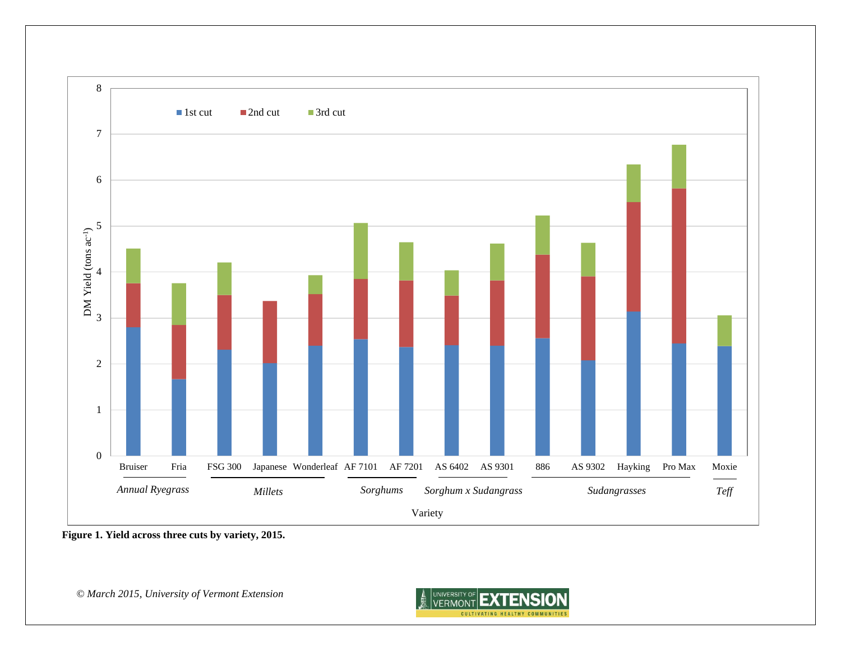

**Figure 1. Yield across three cuts by variety, 2015.**

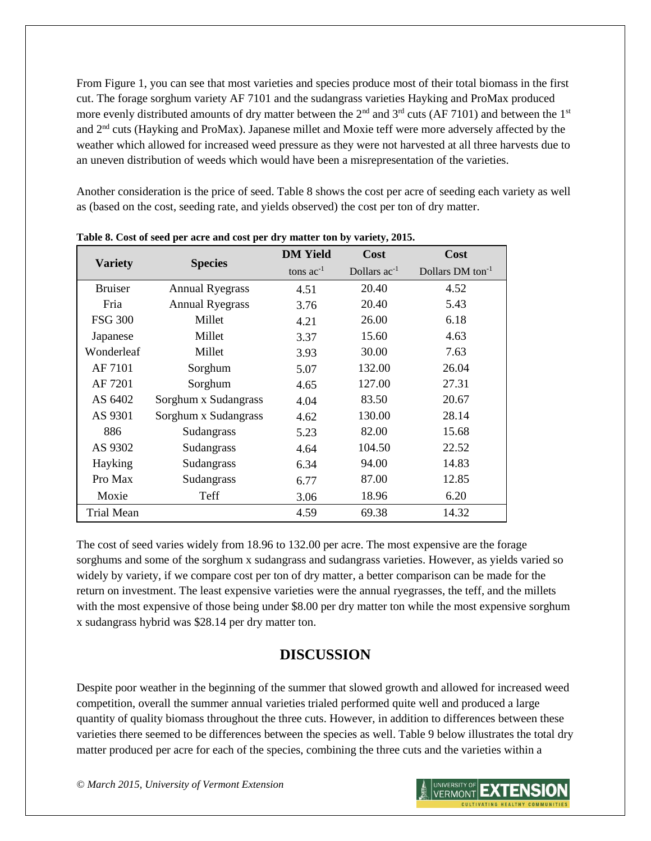From Figure 1, you can see that most varieties and species produce most of their total biomass in the first cut. The forage sorghum variety AF 7101 and the sudangrass varieties Hayking and ProMax produced more evenly distributed amounts of dry matter between the  $2<sup>nd</sup>$  and  $3<sup>rd</sup>$  cuts (AF 7101) and between the  $1<sup>st</sup>$ and 2nd cuts (Hayking and ProMax). Japanese millet and Moxie teff were more adversely affected by the weather which allowed for increased weed pressure as they were not harvested at all three harvests due to an uneven distribution of weeds which would have been a misrepresentation of the varieties.

Another consideration is the price of seed. Table 8 shows the cost per acre of seeding each variety as well as (based on the cost, seeding rate, and yields observed) the cost per ton of dry matter.

|                   |                        | <b>DM</b> Yield | <b>Cost</b>              | Cost                         |
|-------------------|------------------------|-----------------|--------------------------|------------------------------|
| <b>Variety</b>    | <b>Species</b>         | tons $ac^{-1}$  | Dollars ac <sup>-1</sup> | Dollars DM ton <sup>-1</sup> |
| <b>Bruiser</b>    | <b>Annual Ryegrass</b> | 4.51            | 20.40                    | 4.52                         |
| Fria              | <b>Annual Ryegrass</b> | 3.76            | 20.40                    | 5.43                         |
| <b>FSG 300</b>    | Millet                 | 4.21            | 26.00                    | 6.18                         |
| Japanese          | Millet                 | 3.37            | 15.60                    | 4.63                         |
| Wonderleaf        | Millet                 | 3.93            | 30.00                    | 7.63                         |
| AF 7101           | Sorghum                | 5.07            | 132.00                   | 26.04                        |
| AF 7201           | Sorghum                | 4.65            | 127.00                   | 27.31                        |
| AS 6402           | Sorghum x Sudangrass   | 4.04            | 83.50                    | 20.67                        |
| AS 9301           | Sorghum x Sudangrass   | 4.62            | 130.00                   | 28.14                        |
| 886               | Sudangrass             | 5.23            | 82.00                    | 15.68                        |
| AS 9302           | Sudangrass             | 4.64            | 104.50                   | 22.52                        |
| Hayking           | Sudangrass             | 6.34            | 94.00                    | 14.83                        |
| Pro Max           | Sudangrass             | 6.77            | 87.00                    | 12.85                        |
| Moxie             | Teff                   | 3.06            | 18.96                    | 6.20                         |
| <b>Trial Mean</b> |                        | 4.59            | 69.38                    | 14.32                        |

**Table 8. Cost of seed per acre and cost per dry matter ton by variety, 2015.**

The cost of seed varies widely from 18.96 to 132.00 per acre. The most expensive are the forage sorghums and some of the sorghum x sudangrass and sudangrass varieties. However, as yields varied so widely by variety, if we compare cost per ton of dry matter, a better comparison can be made for the return on investment. The least expensive varieties were the annual ryegrasses, the teff, and the millets with the most expensive of those being under \$8.00 per dry matter ton while the most expensive sorghum x sudangrass hybrid was \$28.14 per dry matter ton.

# **DISCUSSION**

Despite poor weather in the beginning of the summer that slowed growth and allowed for increased weed competition, overall the summer annual varieties trialed performed quite well and produced a large quantity of quality biomass throughout the three cuts. However, in addition to differences between these varieties there seemed to be differences between the species as well. Table 9 below illustrates the total dry matter produced per acre for each of the species, combining the three cuts and the varieties within a

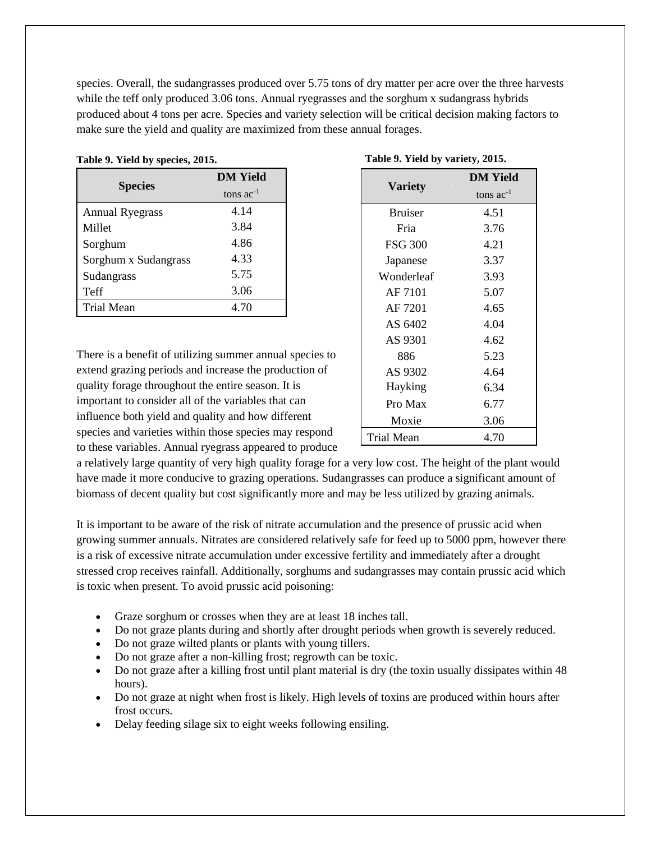species. Overall, the sudangrasses produced over 5.75 tons of dry matter per acre over the three harvests while the teff only produced 3.06 tons. Annual ryegrasses and the sorghum x sudangrass hybrids produced about 4 tons per acre. Species and variety selection will be critical decision making factors to make sure the yield and quality are maximized from these annual forages.

|                        | <b>DM</b> Yield |  |
|------------------------|-----------------|--|
| <b>Species</b>         | tons $ac^{-1}$  |  |
| <b>Annual Ryegrass</b> | 4.14            |  |
| Millet                 | 3.84            |  |
| Sorghum                | 4.86            |  |
| Sorghum x Sudangrass   | 4.33            |  |
| Sudangrass             | 5.75            |  |
| Teff                   | 3.06            |  |
| <b>Trial Mean</b>      | 4.70            |  |

#### **Table 9. Yield by species, 2015.**

| There is a benefit of utilizing summer annual species to |
|----------------------------------------------------------|
| extend grazing periods and increase the production of    |
| quality forage throughout the entire season. It is       |
| important to consider all of the variables that can      |
| influence both yield and quality and how different       |
| species and varieties within those species may respond   |
| to these variables. Annual ryegrass appeared to produce  |

|                | <b>DM Yield</b> |  |  |
|----------------|-----------------|--|--|
| <b>Variety</b> | tons $ac^{-1}$  |  |  |
| <b>Bruiser</b> | 4.51            |  |  |
| Fria           | 3.76            |  |  |
| <b>FSG 300</b> | 4.21            |  |  |
| Japanese       | 3.37            |  |  |
| Wonderleaf     | 3.93            |  |  |
| AF 7101        | 5.07            |  |  |
| AF 7201        | 4.65            |  |  |
| AS 6402        | 4.04            |  |  |
| AS 9301        | 4.62            |  |  |
| 886            | 5.23            |  |  |
| AS 9302        | 4.64            |  |  |
| Hayking        | 6.34            |  |  |
| Pro Max        | 6.77            |  |  |
| Moxie          | 3.06            |  |  |
| Trial Mean     | 4.70            |  |  |

|  |  | Table 9. Yield by variety, 2015. |  |
|--|--|----------------------------------|--|
|  |  |                                  |  |

a relatively large quantity of very high quality forage for a very low cost. The height of the plant would have made it more conducive to grazing operations. Sudangrasses can produce a significant amount of biomass of decent quality but cost significantly more and may be less utilized by grazing animals.

It is important to be aware of the risk of nitrate accumulation and the presence of prussic acid when growing summer annuals. Nitrates are considered relatively safe for feed up to 5000 ppm, however there is a risk of excessive nitrate accumulation under excessive fertility and immediately after a drought stressed crop receives rainfall. Additionally, sorghums and sudangrasses may contain prussic acid which is toxic when present. To avoid prussic acid poisoning:

- Graze sorghum or crosses when they are at least 18 inches tall.
- Do not graze plants during and shortly after drought periods when growth is severely reduced.
- Do not graze wilted plants or plants with young tillers.
- Do not graze after a non-killing frost; regrowth can be toxic.
- Do not graze after a killing frost until plant material is dry (the toxin usually dissipates within 48 hours).
- Do not graze at night when frost is likely. High levels of toxins are produced within hours after frost occurs.
- Delay feeding silage six to eight weeks following ensiling.